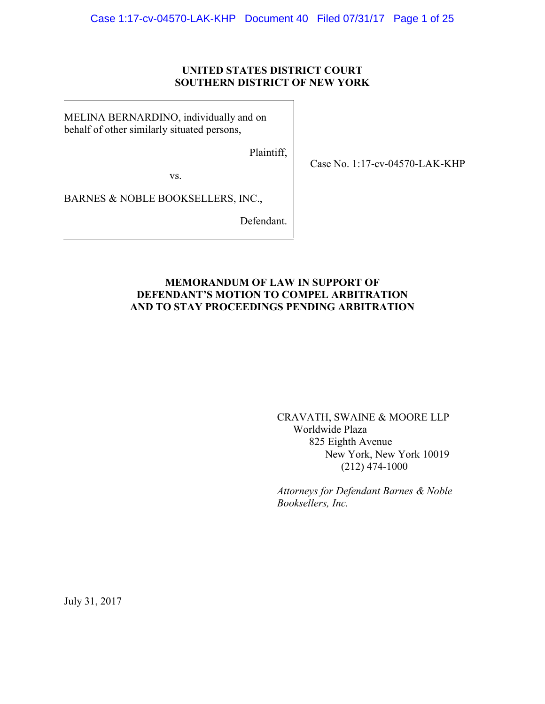### **UNITED STATES DISTRICT COURT SOUTHERN DISTRICT OF NEW YORK**

MELINA BERNARDINO, individually and on behalf of other similarly situated persons,

Plaintiff,

Case No. 1:17-cv-04570-LAK-KHP

vs.

BARNES & NOBLE BOOKSELLERS, INC.,

Defendant.

### **MEMORANDUM OF LAW IN SUPPORT OF DEFENDANT'S MOTION TO COMPEL ARBITRATION AND TO STAY PROCEEDINGS PENDING ARBITRATION**

CRAVATH, SWAINE & MOORE LLP Worldwide Plaza 825 Eighth Avenue New York, New York 10019 (212) 474-1000

*Attorneys for Defendant Barnes & Noble Booksellers, Inc.*

July 31, 2017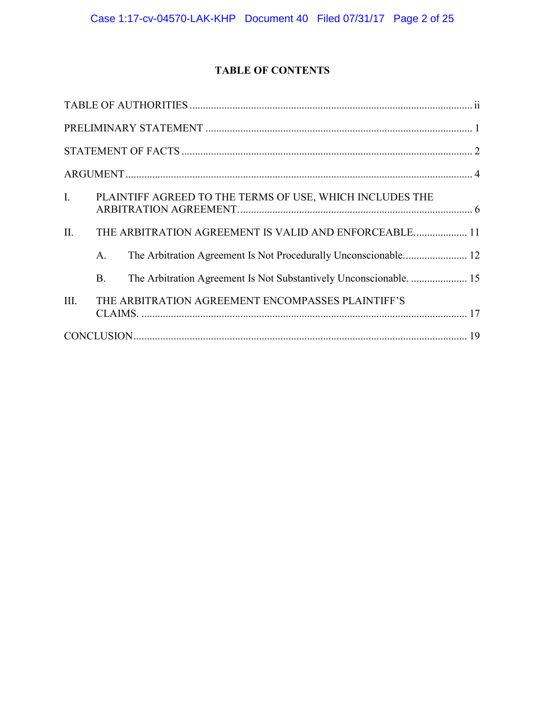# **TABLE OF CONTENTS**

| $\mathbf{I}$ . |                | PLAINTIFF AGREED TO THE TERMS OF USE, WHICH INCLUDES THE           |  |  |
|----------------|----------------|--------------------------------------------------------------------|--|--|
| II.            |                | THE ARBITRATION AGREEMENT IS VALID AND ENFORCEABLE 11              |  |  |
|                | A <sub>1</sub> |                                                                    |  |  |
|                | <b>B.</b>      | The Arbitration Agreement Is Not Substantively Unconscionable.  15 |  |  |
| III.           |                | THE ARBITRATION AGREEMENT ENCOMPASSES PLAINTIFF'S                  |  |  |
|                |                |                                                                    |  |  |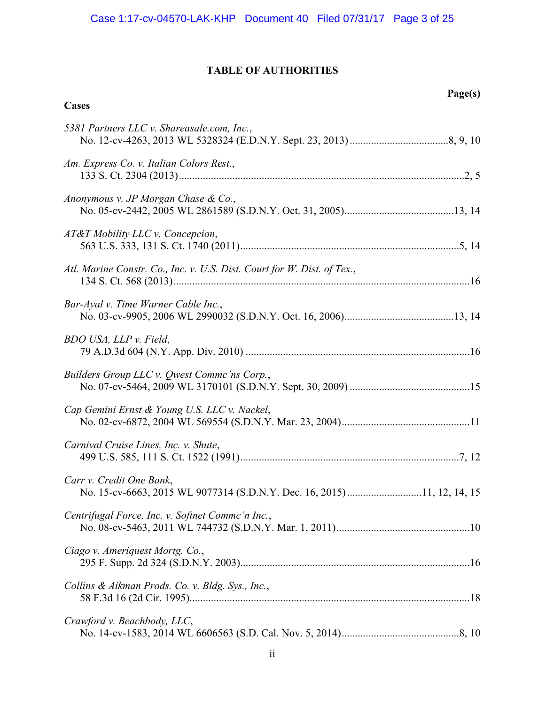# **TABLE OF AUTHORITIES**

<span id="page-2-0"></span>**Cases**

# **Page(s)**

| 5381 Partners LLC v. Shareasale.com, Inc.,                              |  |
|-------------------------------------------------------------------------|--|
| Am. Express Co. v. Italian Colors Rest.,                                |  |
| Anonymous v. JP Morgan Chase & Co.,                                     |  |
| AT&T Mobility LLC v. Concepcion,                                        |  |
| Atl. Marine Constr. Co., Inc. v. U.S. Dist. Court for W. Dist. of Tex., |  |
| Bar-Ayal v. Time Warner Cable Inc.,                                     |  |
| BDO USA, LLP v. Field,                                                  |  |
| Builders Group LLC v. Qwest Commc'ns Corp.,                             |  |
| Cap Gemini Ernst & Young U.S. LLC v. Nackel,                            |  |
| Carnival Cruise Lines, Inc. v. Shute,                                   |  |
| Carr v. Credit One Bank,                                                |  |
| Centrifugal Force, Inc. v. Softnet Commc'n Inc.,                        |  |
| Ciago v. Ameriquest Mortg. Co.,                                         |  |
| Collins & Aikman Prods. Co. v. Bldg. Sys., Inc.,                        |  |
| Crawford v. Beachbody, LLC,                                             |  |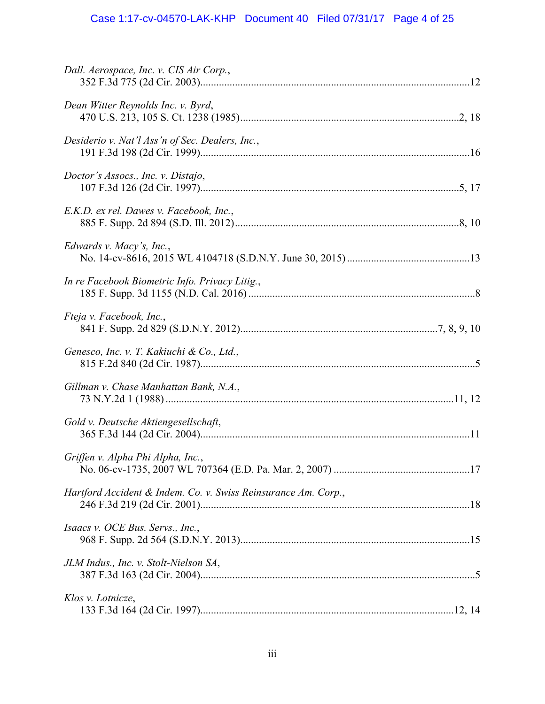# Case 1:17-cv-04570-LAK-KHP Document 40 Filed 07/31/17 Page 4 of 25

| Dall. Aerospace, Inc. v. CIS Air Corp.,                        |  |
|----------------------------------------------------------------|--|
| Dean Witter Reynolds Inc. v. Byrd,                             |  |
| Desiderio v. Nat'l Ass'n of Sec. Dealers, Inc.,                |  |
| Doctor's Assocs., Inc. v. Distajo,                             |  |
| E.K.D. ex rel. Dawes v. Facebook, Inc.,                        |  |
| Edwards v. Macy's, Inc.,                                       |  |
| In re Facebook Biometric Info. Privacy Litig.,                 |  |
| Fteja v. Facebook, Inc.,                                       |  |
| Genesco, Inc. v. T. Kakiuchi & Co., Ltd.,                      |  |
| Gillman v. Chase Manhattan Bank, N.A.,                         |  |
| Gold v. Deutsche Aktiengesellschaft,                           |  |
| Griffen v. Alpha Phi Alpha, Inc.,                              |  |
| Hartford Accident & Indem. Co. v. Swiss Reinsurance Am. Corp., |  |
| Isaacs v. OCE Bus. Servs., Inc.,                               |  |
| JLM Indus., Inc. v. Stolt-Nielson SA,                          |  |
| Klos v. Lotnicze,                                              |  |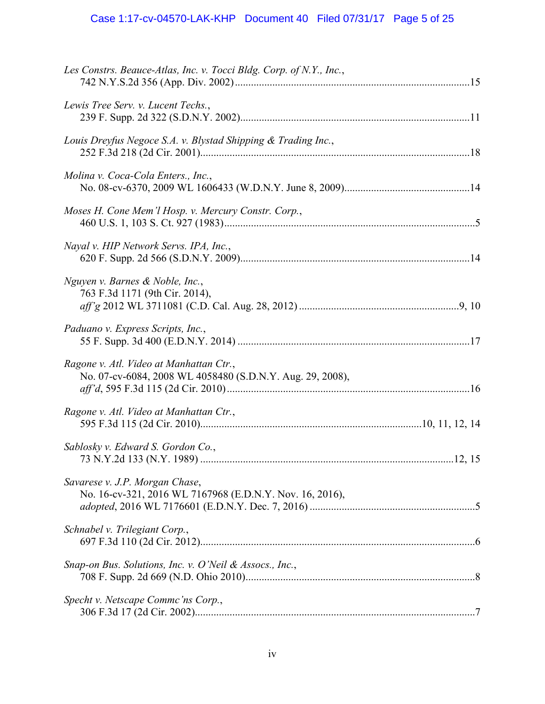# Case 1:17-cv-04570-LAK-KHP Document 40 Filed 07/31/17 Page 5 of 25

| Les Constrs. Beauce-Atlas, Inc. v. Tocci Bldg. Corp. of N.Y., Inc.,                                  |  |
|------------------------------------------------------------------------------------------------------|--|
| Lewis Tree Serv. v. Lucent Techs.,                                                                   |  |
| Louis Dreyfus Negoce S.A. v. Blystad Shipping & Trading Inc.,                                        |  |
| Molina v. Coca-Cola Enters., Inc.,                                                                   |  |
| Moses H. Cone Mem'l Hosp. v. Mercury Constr. Corp.,                                                  |  |
| Nayal v. HIP Network Servs. IPA, Inc.,                                                               |  |
| Nguyen v. Barnes & Noble, Inc.,<br>763 F.3d 1171 (9th Cir. 2014),                                    |  |
| Paduano v. Express Scripts, Inc.,                                                                    |  |
| Ragone v. Atl. Video at Manhattan Ctr.,<br>No. 07-cv-6084, 2008 WL 4058480 (S.D.N.Y. Aug. 29, 2008), |  |
| Ragone v. Atl. Video at Manhattan Ctr.,                                                              |  |
| Sablosky v. Edward S. Gordon Co.,                                                                    |  |
| Savarese v. J.P. Morgan Chase,<br>No. 16-cv-321, 2016 WL 7167968 (E.D.N.Y. Nov. 16, 2016),           |  |
| Schnabel v. Trilegiant Corp.,                                                                        |  |
| Snap-on Bus. Solutions, Inc. v. O'Neil & Assocs., Inc.,                                              |  |
| Specht v. Netscape Commc'ns Corp.,                                                                   |  |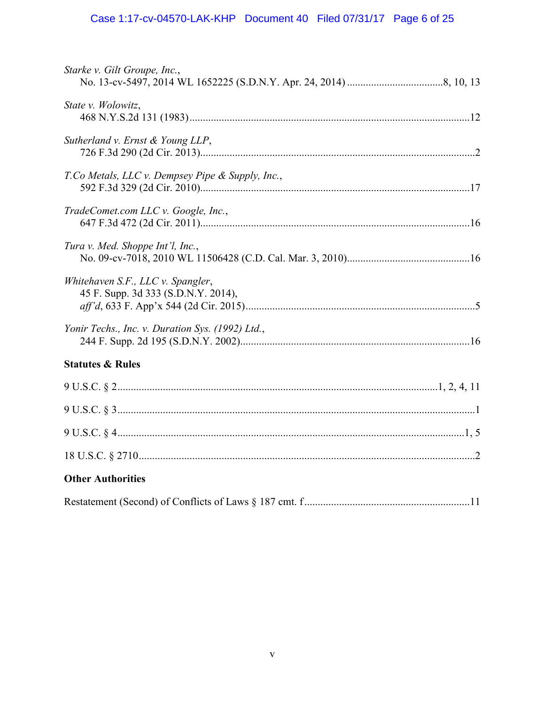# Case 1:17-cv-04570-LAK-KHP Document 40 Filed 07/31/17 Page 6 of 25

| Starke v. Gilt Groupe, Inc.,                                             |  |
|--------------------------------------------------------------------------|--|
| State v. Wolowitz,                                                       |  |
| Sutherland v. Ernst & Young LLP,                                         |  |
| T.Co Metals, LLC v. Dempsey Pipe & Supply, Inc.,                         |  |
| TradeComet.com LLC v. Google, Inc.,                                      |  |
| Tura v. Med. Shoppe Int'l, Inc.,                                         |  |
| Whitehaven S.F., LLC v. Spangler,<br>45 F. Supp. 3d 333 (S.D.N.Y. 2014), |  |
| Yonir Techs., Inc. v. Duration Sys. (1992) Ltd.,                         |  |
| <b>Statutes &amp; Rules</b>                                              |  |
|                                                                          |  |
|                                                                          |  |
|                                                                          |  |
|                                                                          |  |
| <b>Other Authorities</b>                                                 |  |
|                                                                          |  |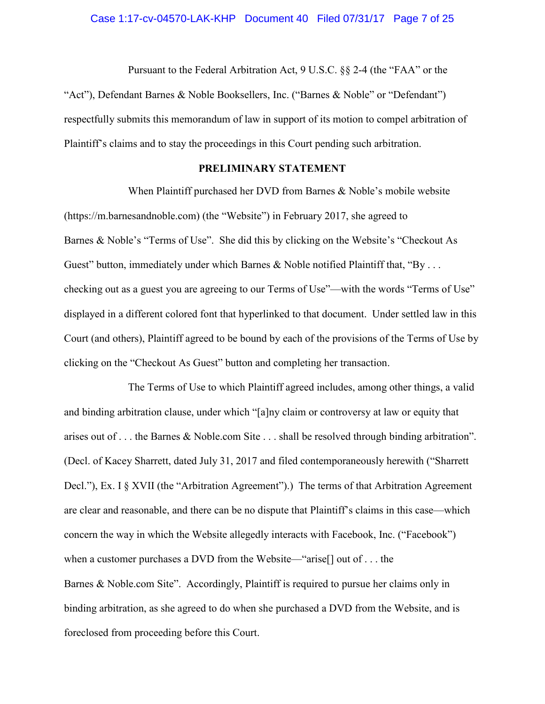# Case 1:17-cv-04570-LAK-KHP Document 40 Filed 07/31/17 Page 7 of 25

Pursuant to the Federal Arbitration Act, 9 U.S.C. §§ 2-4 (the "FAA" or the "Act"), Defendant Barnes & Noble Booksellers, Inc. ("Barnes & Noble" or "Defendant") respectfully submits this memorandum of law in support of its motion to compel arbitration of Plaintiff's claims and to stay the proceedings in this Court pending such arbitration.

### <span id="page-6-1"></span>**PRELIMINARY STATEMENT**

<span id="page-6-0"></span>When Plaintiff purchased her DVD from Barnes & Noble's mobile website (https://m.barnesandnoble.com) (the "Website") in February 2017, she agreed to Barnes & Noble's "Terms of Use". She did this by clicking on the Website's "Checkout As Guest" button, immediately under which Barnes & Noble notified Plaintiff that, "By  $\dots$ checking out as a guest you are agreeing to our Terms of Use"—with the words "Terms of Use" displayed in a different colored font that hyperlinked to that document. Under settled law in this Court (and others), Plaintiff agreed to be bound by each of the provisions of the Terms of Use by clicking on the "Checkout As Guest" button and completing her transaction.

The Terms of Use to which Plaintiff agreed includes, among other things, a valid and binding arbitration clause, under which "[a]ny claim or controversy at law or equity that arises out of . . . the Barnes & Noble.com Site . . . shall be resolved through binding arbitration". (Decl. of Kacey Sharrett, dated July 31, 2017 and filed contemporaneously herewith ("Sharrett Decl."), Ex. I § XVII (the "Arbitration Agreement").) The terms of that Arbitration Agreement are clear and reasonable, and there can be no dispute that Plaintiff's claims in this case—which concern the way in which the Website allegedly interacts with Facebook, Inc. ("Facebook") when a customer purchases a DVD from the Website—"arise[] out of . . . the Barnes & Noble.com Site". Accordingly, Plaintiff is required to pursue her claims only in binding arbitration, as she agreed to do when she purchased a DVD from the Website, and is foreclosed from proceeding before this Court.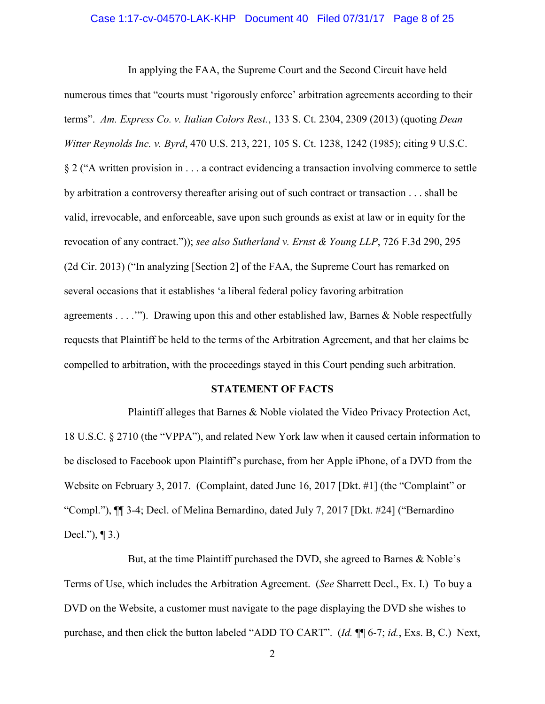### Case 1:17-cv-04570-LAK-KHP Document 40 Filed 07/31/17 Page 8 of 25

<span id="page-7-1"></span>In applying the FAA, the Supreme Court and the Second Circuit have held numerous times that "courts must 'rigorously enforce' arbitration agreements according to their terms". *Am. Express Co. v. Italian Colors Rest.*, 133 S. Ct. 2304, 2309 (2013) (quoting *Dean Witter Reynolds Inc. v. Byrd*, 470 U.S. 213, 221, 105 S. Ct. 1238, 1242 (1985); citing 9 U.S.C. § 2 ("A written provision in . . . a contract evidencing a transaction involving commerce to settle by arbitration a controversy thereafter arising out of such contract or transaction . . . shall be valid, irrevocable, and enforceable, save upon such grounds as exist at law or in equity for the revocation of any contract.")); *see also Sutherland v. Ernst & Young LLP*, 726 F.3d 290, 295 (2d Cir. 2013) ("In analyzing [Section 2] of the FAA, the Supreme Court has remarked on several occasions that it establishes 'a liberal federal policy favoring arbitration agreements  $\dots$ ."). Drawing upon this and other established law, Barnes & Noble respectfully requests that Plaintiff be held to the terms of the Arbitration Agreement, and that her claims be compelled to arbitration, with the proceedings stayed in this Court pending such arbitration.

#### <span id="page-7-5"></span><span id="page-7-4"></span><span id="page-7-3"></span><span id="page-7-2"></span>**STATEMENT OF FACTS**

<span id="page-7-0"></span>Plaintiff alleges that Barnes & Noble violated the Video Privacy Protection Act, 18 U.S.C. § 2710 (the "VPPA"), and related New York law when it caused certain information to be disclosed to Facebook upon Plaintiff's purchase, from her Apple iPhone, of a DVD from the Website on February 3, 2017. (Complaint, dated June 16, 2017 [Dkt. #1] (the "Complaint" or "Compl."), ¶¶ 3-4; Decl. of Melina Bernardino, dated July 7, 2017 [Dkt. #24] ("Bernardino Decl."), ¶ 3.)

But, at the time Plaintiff purchased the DVD, she agreed to Barnes & Noble's Terms of Use, which includes the Arbitration Agreement. (*See* Sharrett Decl., Ex. I.) To buy a DVD on the Website, a customer must navigate to the page displaying the DVD she wishes to purchase, and then click the button labeled "ADD TO CART". (*Id.* ¶¶ 6-7; *id.*, Exs. B, C.) Next,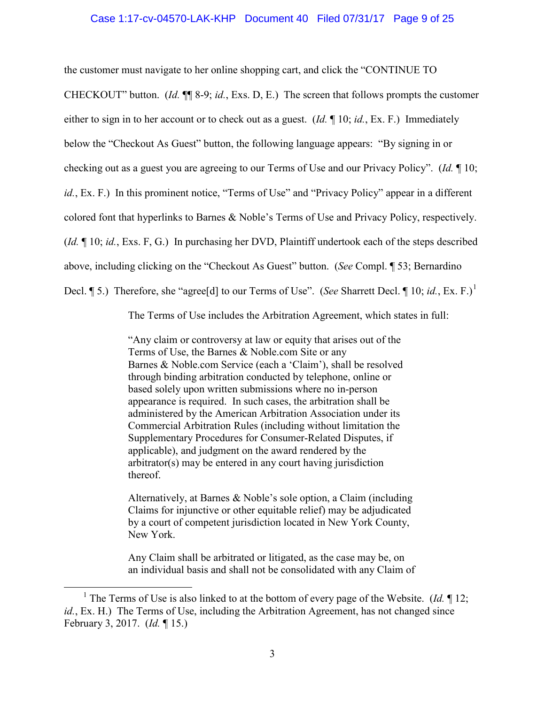#### Case 1:17-cv-04570-LAK-KHP Document 40 Filed 07/31/17 Page 9 of 25

the customer must navigate to her online shopping cart, and click the "CONTINUE TO

CHECKOUT" button. (*Id.* ¶¶ 8-9; *id.*, Exs. D, E.) The screen that follows prompts the customer

either to sign in to her account or to check out as a guest. (*Id.* ¶ 10; *id.*, Ex. F.) Immediately

below the "Checkout As Guest" button, the following language appears: "By signing in or

checking out as a guest you are agreeing to our Terms of Use and our Privacy Policy". (*Id.* ¶ 10;

*id.*, Ex. F.) In this prominent notice, "Terms of Use" and "Privacy Policy" appear in a different

colored font that hyperlinks to Barnes & Noble's Terms of Use and Privacy Policy, respectively.

(*Id.* ¶ 10; *id.*, Exs. F, G.) In purchasing her DVD, Plaintiff undertook each of the steps described

above, including clicking on the "Checkout As Guest" button. (*See* Compl. ¶ 53; Bernardino

Decl. ¶ 5.) Therefore, she "agree[d] to our Terms of Use". (*See* Sharrett Decl. ¶ [1](#page-8-0)0; *id.*, Ex. F.)<sup>1</sup>

The Terms of Use includes the Arbitration Agreement, which states in full:

"Any claim or controversy at law or equity that arises out of the Terms of Use, the Barnes & Noble.com Site or any Barnes & Noble.com Service (each a 'Claim'), shall be resolved through binding arbitration conducted by telephone, online or based solely upon written submissions where no in-person appearance is required. In such cases, the arbitration shall be administered by the American Arbitration Association under its Commercial Arbitration Rules (including without limitation the Supplementary Procedures for Consumer-Related Disputes, if applicable), and judgment on the award rendered by the arbitrator(s) may be entered in any court having jurisdiction thereof.

Alternatively, at Barnes & Noble's sole option, a Claim (including Claims for injunctive or other equitable relief) may be adjudicated by a court of competent jurisdiction located in New York County, New York.

Any Claim shall be arbitrated or litigated, as the case may be, on an individual basis and shall not be consolidated with any Claim of

<span id="page-8-0"></span> $\overline{\phantom{0}1}$ <sup>1</sup> The Terms of Use is also linked to at the bottom of every page of the Website. (*Id.*  $\P$  12; *id.*, Ex. H.) The Terms of Use, including the Arbitration Agreement, has not changed since February 3, 2017. (*Id.* ¶ 15.)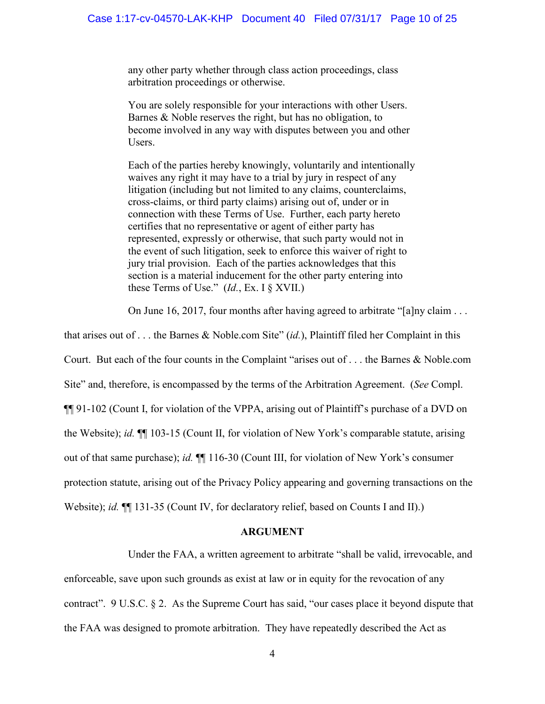any other party whether through class action proceedings, class arbitration proceedings or otherwise.

You are solely responsible for your interactions with other Users. Barnes & Noble reserves the right, but has no obligation, to become involved in any way with disputes between you and other Users.

Each of the parties hereby knowingly, voluntarily and intentionally waives any right it may have to a trial by jury in respect of any litigation (including but not limited to any claims, counterclaims, cross-claims, or third party claims) arising out of, under or in connection with these Terms of Use. Further, each party hereto certifies that no representative or agent of either party has represented, expressly or otherwise, that such party would not in the event of such litigation, seek to enforce this waiver of right to jury trial provision. Each of the parties acknowledges that this section is a material inducement for the other party entering into these Terms of Use." (*Id.*, Ex. I § XVII.)

On June 16, 2017, four months after having agreed to arbitrate "[a]ny claim . . .

that arises out of . . . the Barnes & Noble.com Site" (*id.*), Plaintiff filed her Complaint in this Court. But each of the four counts in the Complaint "arises out of . . . the Barnes & Noble.com Site" and, therefore, is encompassed by the terms of the Arbitration Agreement. (*See* Compl. ¶¶ 91-102 (Count I, for violation of the VPPA, arising out of Plaintiff's purchase of a DVD on the Website); *id.* ¶¶ 103-15 (Count II, for violation of New York's comparable statute, arising out of that same purchase); *id.* ¶¶ 116-30 (Count III, for violation of New York's consumer protection statute, arising out of the Privacy Policy appearing and governing transactions on the Website); *id.*  $\P$ [131-35 (Count IV, for declaratory relief, based on Counts I and II).)

#### **ARGUMENT**

<span id="page-9-1"></span><span id="page-9-0"></span>Under the FAA, a written agreement to arbitrate "shall be valid, irrevocable, and enforceable, save upon such grounds as exist at law or in equity for the revocation of any contract". 9 U.S.C. § 2. As the Supreme Court has said, "our cases place it beyond dispute that the FAA was designed to promote arbitration. They have repeatedly described the Act as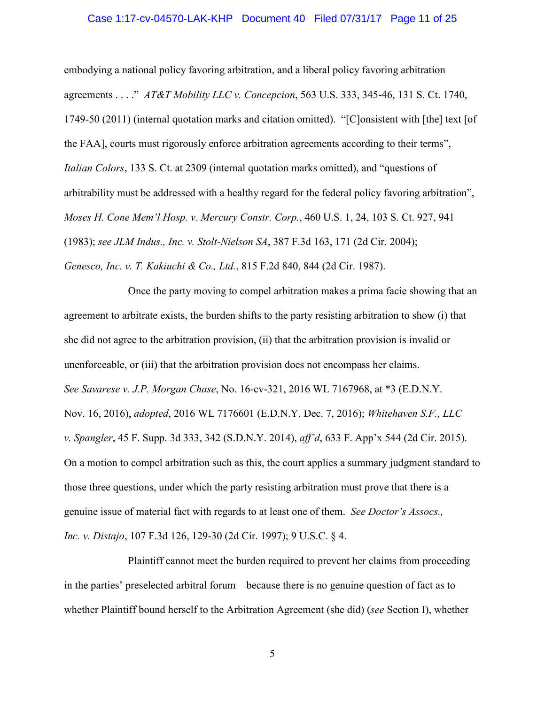### Case 1:17-cv-04570-LAK-KHP Document 40 Filed 07/31/17 Page 11 of 25

<span id="page-10-1"></span><span id="page-10-0"></span>embodying a national policy favoring arbitration, and a liberal policy favoring arbitration agreements . . . ." *AT&T Mobility LLC v. Concepcion*, 563 U.S. 333, 345-46, 131 S. Ct. 1740, 1749-50 (2011) (internal quotation marks and citation omitted). "[C]onsistent with [the] text [of the FAA], courts must rigorously enforce arbitration agreements according to their terms", *Italian Colors*, 133 S. Ct. at 2309 (internal quotation marks omitted), and "questions of arbitrability must be addressed with a healthy regard for the federal policy favoring arbitration", *Moses H. Cone Mem'l Hosp. v. Mercury Constr. Corp.*, 460 U.S. 1, 24, 103 S. Ct. 927, 941 (1983); *see JLM Indus., Inc. v. Stolt-Nielson SA*, 387 F.3d 163, 171 (2d Cir. 2004); *Genesco, Inc. v. T. Kakiuchi & Co., Ltd.*, 815 F.2d 840, 844 (2d Cir. 1987).

<span id="page-10-7"></span><span id="page-10-6"></span><span id="page-10-5"></span><span id="page-10-4"></span><span id="page-10-3"></span>Once the party moving to compel arbitration makes a prima facie showing that an agreement to arbitrate exists, the burden shifts to the party resisting arbitration to show (i) that she did not agree to the arbitration provision, (ii) that the arbitration provision is invalid or unenforceable, or (iii) that the arbitration provision does not encompass her claims. *See Savarese v. J.P. Morgan Chase*, No. 16-cv-321, 2016 WL 7167968, at \*3 (E.D.N.Y. Nov. 16, 2016), *adopted*, 2016 WL 7176601 (E.D.N.Y. Dec. 7, 2016); *Whitehaven S.F., LLC v. Spangler*, 45 F. Supp. 3d 333, 342 (S.D.N.Y. 2014), *aff'd*, 633 F. App'x 544 (2d Cir. 2015). On a motion to compel arbitration such as this, the court applies a summary judgment standard to those three questions, under which the party resisting arbitration must prove that there is a genuine issue of material fact with regards to at least one of them. *See Doctor's Assocs., Inc. v. Distajo*, 107 F.3d 126, 129-30 (2d Cir. 1997); 9 U.S.C. § 4.

<span id="page-10-8"></span><span id="page-10-2"></span>Plaintiff cannot meet the burden required to prevent her claims from proceeding in the parties' preselected arbitral forum—because there is no genuine question of fact as to whether Plaintiff bound herself to the Arbitration Agreement (she did) (*see* Section I), whether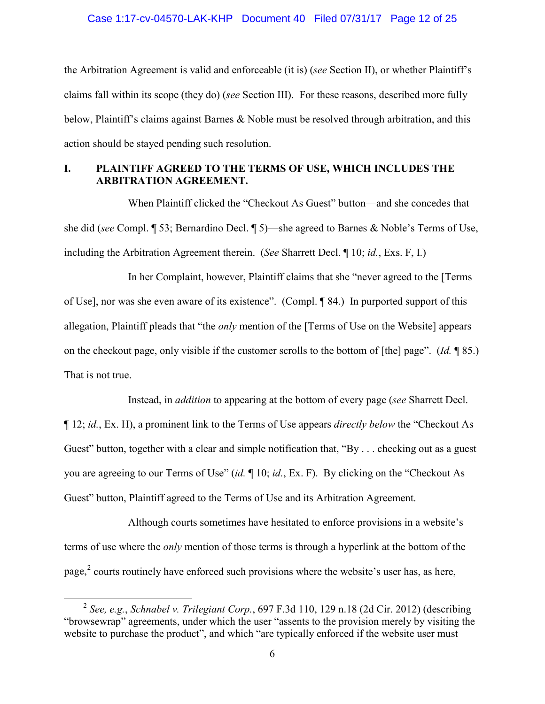# Case 1:17-cv-04570-LAK-KHP Document 40 Filed 07/31/17 Page 12 of 25

the Arbitration Agreement is valid and enforceable (it is) (*see* Section II), or whether Plaintiff's claims fall within its scope (they do) (*see* Section III). For these reasons, described more fully below, Plaintiff's claims against Barnes & Noble must be resolved through arbitration, and this action should be stayed pending such resolution.

### <span id="page-11-0"></span>**I. PLAINTIFF AGREED TO THE TERMS OF USE, WHICH INCLUDES THE ARBITRATION AGREEMENT.**

When Plaintiff clicked the "Checkout As Guest" button—and she concedes that she did (*see* Compl. ¶ 53; Bernardino Decl. ¶ 5)—she agreed to Barnes & Noble's Terms of Use, including the Arbitration Agreement therein. (*See* Sharrett Decl. ¶ 10; *id.*, Exs. F, I.)

In her Complaint, however, Plaintiff claims that she "never agreed to the [Terms of Use], nor was she even aware of its existence". (Compl. ¶ 84.) In purported support of this allegation, Plaintiff pleads that "the *only* mention of the [Terms of Use on the Website] appears on the checkout page, only visible if the customer scrolls to the bottom of [the] page". (*Id.* ¶ 85.) That is not true.

Instead, in *addition* to appearing at the bottom of every page (*see* Sharrett Decl.

¶ 12; *id.*, Ex. H), a prominent link to the Terms of Use appears *directly below* the "Checkout As Guest" button, together with a clear and simple notification that, "By . . . checking out as a guest you are agreeing to our Terms of Use" (*id.* ¶ 10; *id.*, Ex. F). By clicking on the "Checkout As Guest" button, Plaintiff agreed to the Terms of Use and its Arbitration Agreement.

Although courts sometimes have hesitated to enforce provisions in a website's terms of use where the *only* mention of those terms is through a hyperlink at the bottom of the page,<sup>[2](#page-11-1)</sup> courts routinely have enforced such provisions where the website's user has, as here,

<span id="page-11-1"></span> <sup>2</sup> *See, e.g.*, *Schnabel v. Trilegiant Corp.*, 697 F.3d 110, 129 n.18 (2d Cir. 2012) (describing "browsewrap" agreements, under which the user "assents to the provision merely by visiting the website to purchase the product", and which "are typically enforced if the website user must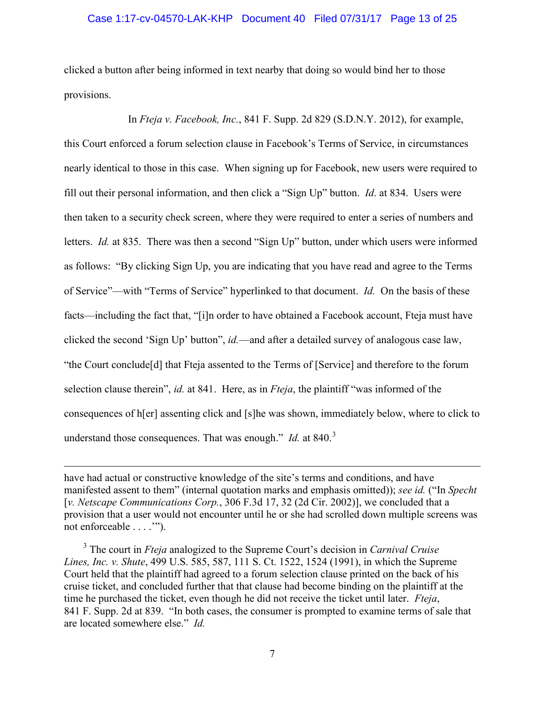#### Case 1:17-cv-04570-LAK-KHP Document 40 Filed 07/31/17 Page 13 of 25

clicked a button after being informed in text nearby that doing so would bind her to those provisions.

<span id="page-12-1"></span>In *Fteja v. Facebook, Inc.*, 841 F. Supp. 2d 829 (S.D.N.Y. 2012), for example, this Court enforced a forum selection clause in Facebook's Terms of Service, in circumstances nearly identical to those in this case. When signing up for Facebook, new users were required to fill out their personal information, and then click a "Sign Up" button. *Id*. at 834. Users were then taken to a security check screen, where they were required to enter a series of numbers and letters. *Id.* at 835. There was then a second "Sign Up" button, under which users were informed as follows: "By clicking Sign Up, you are indicating that you have read and agree to the Terms of Service"—with "Terms of Service" hyperlinked to that document. *Id.* On the basis of these facts—including the fact that, "[i]n order to have obtained a Facebook account, Fteja must have clicked the second 'Sign Up' button", *id.*—and after a detailed survey of analogous case law, "the Court conclude[d] that Fteja assented to the Terms of [Service] and therefore to the forum selection clause therein", *id.* at 841. Here, as in *Fteja*, the plaintiff "was informed of the consequences of h[er] assenting click and [s]he was shown, immediately below, where to click to understand those consequences. That was enough." *Id.* at 840.<sup>[3](#page-12-2)</sup>

have had actual or constructive knowledge of the site's terms and conditions, and have manifested assent to them" (internal quotation marks and emphasis omitted)); *see id.* ("In *Specht*  [*v. Netscape Communications Corp.*, 306 F.3d 17, 32 (2d Cir. 2002)], we concluded that a provision that a user would not encounter until he or she had scrolled down multiple screens was not enforceable . . . .'").

 $\overline{a}$ 

<span id="page-12-2"></span><span id="page-12-0"></span>3 The court in *Fteja* analogized to the Supreme Court's decision in *Carnival Cruise Lines, Inc. v. Shute*, 499 U.S. 585, 587, 111 S. Ct. 1522, 1524 (1991), in which the Supreme Court held that the plaintiff had agreed to a forum selection clause printed on the back of his cruise ticket, and concluded further that that clause had become binding on the plaintiff at the time he purchased the ticket, even though he did not receive the ticket until later. *Fteja*, 841 F. Supp. 2d at 839. "In both cases, the consumer is prompted to examine terms of sale that are located somewhere else." *Id.*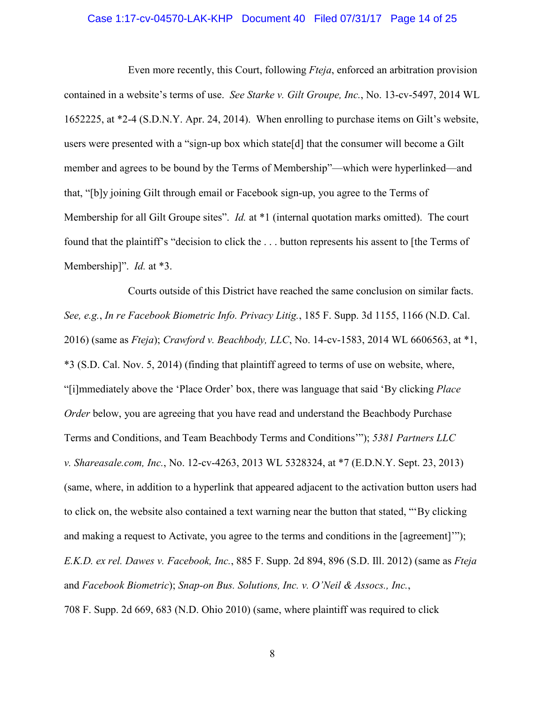### <span id="page-13-5"></span>Case 1:17-cv-04570-LAK-KHP Document 40 Filed 07/31/17 Page 14 of 25

Even more recently, this Court, following *Fteja*, enforced an arbitration provision contained in a website's terms of use. *See Starke v. Gilt Groupe, Inc.*, No. 13-cv-5497, 2014 WL 1652225, at \*2-4 (S.D.N.Y. Apr. 24, 2014). When enrolling to purchase items on Gilt's website, users were presented with a "sign-up box which state[d] that the consumer will become a Gilt member and agrees to be bound by the Terms of Membership"—which were hyperlinked—and that, "[b]y joining Gilt through email or Facebook sign-up, you agree to the Terms of Membership for all Gilt Groupe sites". *Id.* at \*1 (internal quotation marks omitted). The court found that the plaintiff's "decision to click the . . . button represents his assent to [the Terms of Membership]". *Id.* at \*3.

<span id="page-13-4"></span><span id="page-13-3"></span><span id="page-13-2"></span><span id="page-13-1"></span><span id="page-13-0"></span>Courts outside of this District have reached the same conclusion on similar facts. *See, e.g.*, *In re Facebook Biometric Info. Privacy Litig.*, 185 F. Supp. 3d 1155, 1166 (N.D. Cal. 2016) (same as *Fteja*); *Crawford v. Beachbody, LLC*, No. 14-cv-1583, 2014 WL 6606563, at \*1, \*3 (S.D. Cal. Nov. 5, 2014) (finding that plaintiff agreed to terms of use on website, where, "[i]mmediately above the 'Place Order' box, there was language that said 'By clicking *Place Order* below, you are agreeing that you have read and understand the Beachbody Purchase Terms and Conditions, and Team Beachbody Terms and Conditions'"); *5381 Partners LLC v. Shareasale.com, Inc.*, No. 12-cv-4263, 2013 WL 5328324, at \*7 (E.D.N.Y. Sept. 23, 2013) (same, where, in addition to a hyperlink that appeared adjacent to the activation button users had to click on, the website also contained a text warning near the button that stated, "'By clicking and making a request to Activate, you agree to the terms and conditions in the [agreement]'"); *E.K.D. ex rel. Dawes v. Facebook, Inc.*, 885 F. Supp. 2d 894, 896 (S.D. Ill. 2012) (same as *Fteja*  and *Facebook Biometric*); *Snap-on Bus. Solutions, Inc. v. O'Neil & Assocs., Inc.*, 708 F. Supp. 2d 669, 683 (N.D. Ohio 2010) (same, where plaintiff was required to click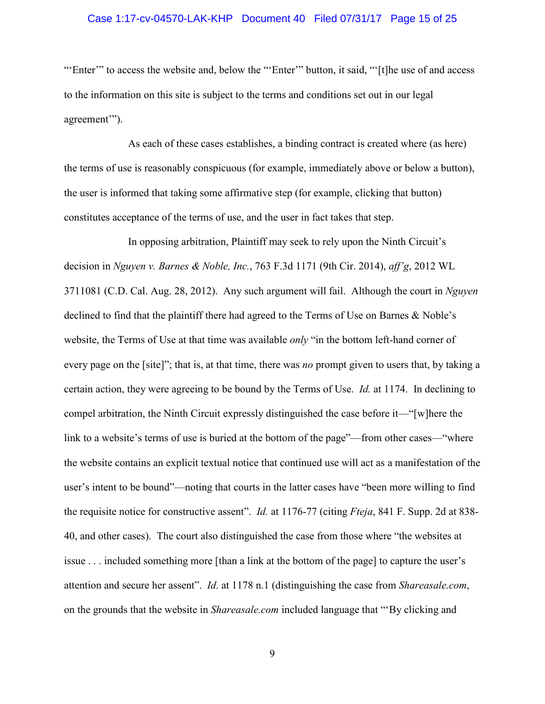# Case 1:17-cv-04570-LAK-KHP Document 40 Filed 07/31/17 Page 15 of 25

"'Enter'" to access the website and, below the "'Enter'" button, it said, "'[t]he use of and access to the information on this site is subject to the terms and conditions set out in our legal agreement'").

As each of these cases establishes, a binding contract is created where (as here) the terms of use is reasonably conspicuous (for example, immediately above or below a button), the user is informed that taking some affirmative step (for example, clicking that button) constitutes acceptance of the terms of use, and the user in fact takes that step.

<span id="page-14-1"></span><span id="page-14-0"></span>In opposing arbitration, Plaintiff may seek to rely upon the Ninth Circuit's decision in *Nguyen v. Barnes & Noble, Inc.*, 763 F.3d 1171 (9th Cir. 2014), *aff'g*, 2012 WL 3711081 (C.D. Cal. Aug. 28, 2012). Any such argument will fail. Although the court in *Nguyen*  declined to find that the plaintiff there had agreed to the Terms of Use on Barnes & Noble's website, the Terms of Use at that time was available *only* "in the bottom left-hand corner of every page on the [site]"; that is, at that time, there was *no* prompt given to users that, by taking a certain action, they were agreeing to be bound by the Terms of Use. *Id.* at 1174. In declining to compel arbitration, the Ninth Circuit expressly distinguished the case before it—"[w]here the link to a website's terms of use is buried at the bottom of the page"—from other cases—"where the website contains an explicit textual notice that continued use will act as a manifestation of the user's intent to be bound"—noting that courts in the latter cases have "been more willing to find the requisite notice for constructive assent". *Id.* at 1176-77 (citing *Fteja*, 841 F. Supp. 2d at 838- 40, and other cases). The court also distinguished the case from those where "the websites at issue . . . included something more [than a link at the bottom of the page] to capture the user's attention and secure her assent". *Id.* at 1178 n.1 (distinguishing the case from *Shareasale.com*, on the grounds that the website in *Shareasale.com* included language that "'By clicking and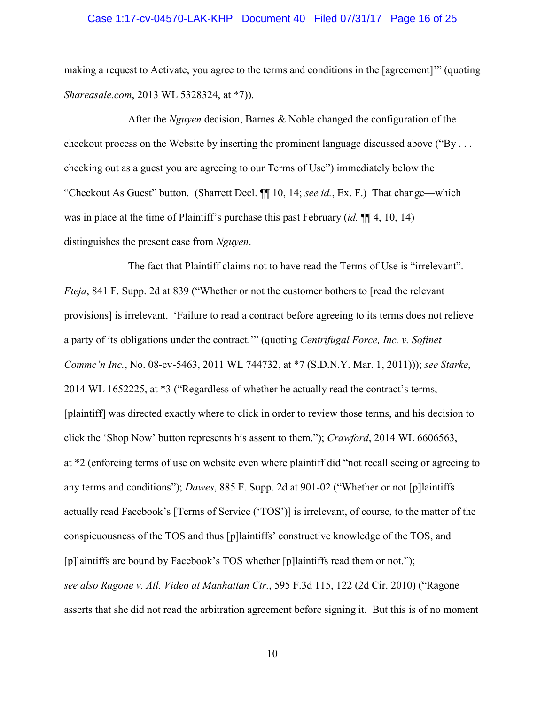### Case 1:17-cv-04570-LAK-KHP Document 40 Filed 07/31/17 Page 16 of 25

<span id="page-15-0"></span>making a request to Activate, you agree to the terms and conditions in the [agreement]'" (quoting *Shareasale.com*, 2013 WL 5328324, at \*7)).

After the *Nguyen* decision, Barnes & Noble changed the configuration of the checkout process on the Website by inserting the prominent language discussed above ("By . . . checking out as a guest you are agreeing to our Terms of Use") immediately below the "Checkout As Guest" button. (Sharrett Decl. ¶¶ 10, 14; *see id.*, Ex. F.) That change—which was in place at the time of Plaintiff's purchase this past February (*id.* ¶¶ 4, 10, 14) distinguishes the present case from *Nguyen*.

<span id="page-15-6"></span><span id="page-15-5"></span><span id="page-15-4"></span><span id="page-15-3"></span><span id="page-15-2"></span><span id="page-15-1"></span>The fact that Plaintiff claims not to have read the Terms of Use is "irrelevant". *Fteja*, 841 F. Supp. 2d at 839 ("Whether or not the customer bothers to [read the relevant provisions] is irrelevant. 'Failure to read a contract before agreeing to its terms does not relieve a party of its obligations under the contract.'" (quoting *Centrifugal Force, Inc. v. Softnet Commc'n Inc.*, No. 08-cv-5463, 2011 WL 744732, at \*7 (S.D.N.Y. Mar. 1, 2011))); *see Starke*, 2014 WL 1652225, at \*3 ("Regardless of whether he actually read the contract's terms, [plaintiff] was directed exactly where to click in order to review those terms, and his decision to click the 'Shop Now' button represents his assent to them."); *Crawford*, 2014 WL 6606563, at \*2 (enforcing terms of use on website even where plaintiff did "not recall seeing or agreeing to any terms and conditions"); *Dawes*, 885 F. Supp. 2d at 901-02 ("Whether or not [p]laintiffs actually read Facebook's [Terms of Service ('TOS')] is irrelevant, of course, to the matter of the conspicuousness of the TOS and thus [p]laintiffs' constructive knowledge of the TOS, and [p]laintiffs are bound by Facebook's TOS whether [p]laintiffs read them or not."); *see also Ragone v. Atl. Video at Manhattan Ctr.*, 595 F.3d 115, 122 (2d Cir. 2010) ("Ragone asserts that she did not read the arbitration agreement before signing it. But this is of no moment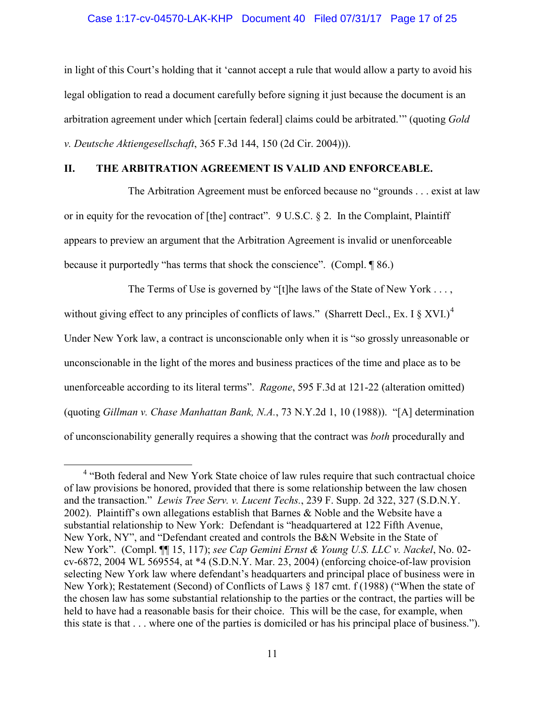# <span id="page-16-3"></span>Case 1:17-cv-04570-LAK-KHP Document 40 Filed 07/31/17 Page 17 of 25

in light of this Court's holding that it 'cannot accept a rule that would allow a party to avoid his legal obligation to read a document carefully before signing it just because the document is an arbitration agreement under which [certain federal] claims could be arbitrated.'" (quoting *Gold v. Deutsche Aktiengesellschaft*, 365 F.3d 144, 150 (2d Cir. 2004))).

### <span id="page-16-0"></span>**II. THE ARBITRATION AGREEMENT IS VALID AND ENFORCEABLE.**

<span id="page-16-6"></span>The Arbitration Agreement must be enforced because no "grounds . . . exist at law or in equity for the revocation of [the] contract". 9 U.S.C. § 2. In the Complaint, Plaintiff appears to preview an argument that the Arbitration Agreement is invalid or unenforceable because it purportedly "has terms that shock the conscience". (Compl. ¶ 86.)

The Terms of Use is governed by "[t]he laws of the State of New York . . . , without giving effect to any principles of conflicts of laws." (Sharrett Decl., Ex. I  $\S$  XVI.)<sup>[4](#page-16-8)</sup> Under New York law, a contract is unconscionable only when it is "so grossly unreasonable or unconscionable in the light of the mores and business practices of the time and place as to be unenforceable according to its literal terms". *Ragone*, 595 F.3d at 121-22 (alteration omitted) (quoting *Gillman v. Chase Manhattan Bank, N.A.*, 73 N.Y.2d 1, 10 (1988)). "[A] determination of unconscionability generally requires a showing that the contract was *both* procedurally and

<span id="page-16-8"></span><span id="page-16-7"></span><span id="page-16-5"></span><span id="page-16-4"></span><span id="page-16-2"></span><span id="page-16-1"></span><sup>&</sup>lt;sup>4</sup> "Both federal and New York State choice of law rules require that such contractual choice of law provisions be honored, provided that there is some relationship between the law chosen and the transaction." *Lewis Tree Serv. v. Lucent Techs.*, 239 F. Supp. 2d 322, 327 (S.D.N.Y. 2002). Plaintiff's own allegations establish that Barnes & Noble and the Website have a substantial relationship to New York: Defendant is "headquartered at 122 Fifth Avenue, New York, NY", and "Defendant created and controls the B&N Website in the State of New York". (Compl. ¶¶ 15, 117); *see Cap Gemini Ernst & Young U.S. LLC v. Nackel*, No. 02 cv-6872, 2004 WL 569554, at \*4 (S.D.N.Y. Mar. 23, 2004) (enforcing choice-of-law provision selecting New York law where defendant's headquarters and principal place of business were in New York); Restatement (Second) of Conflicts of Laws § 187 cmt. f (1988) ("When the state of the chosen law has some substantial relationship to the parties or the contract, the parties will be held to have had a reasonable basis for their choice. This will be the case, for example, when this state is that . . . where one of the parties is domiciled or has his principal place of business.").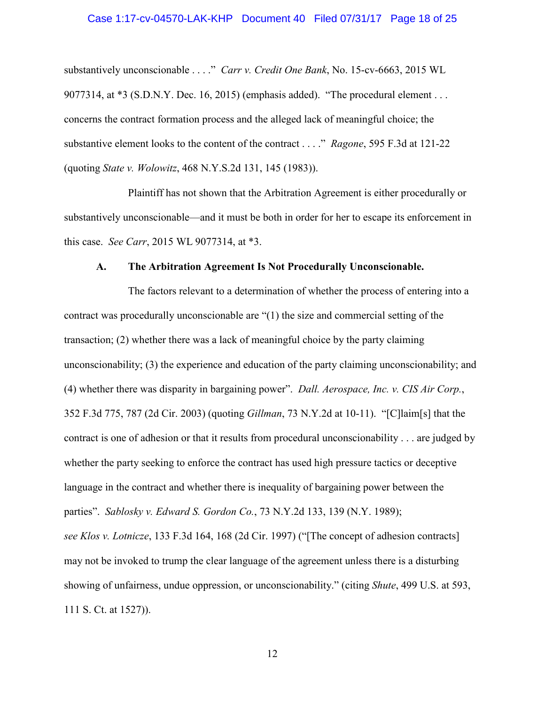# <span id="page-17-2"></span>Case 1:17-cv-04570-LAK-KHP Document 40 Filed 07/31/17 Page 18 of 25

substantively unconscionable . . . ." *Carr v. Credit One Bank*, No. 15-cv-6663, 2015 WL 9077314, at \*3 (S.D.N.Y. Dec. 16, 2015) (emphasis added). "The procedural element . . . concerns the contract formation process and the alleged lack of meaningful choice; the substantive element looks to the content of the contract . . . ." *Ragone*, 595 F.3d at 121-22 (quoting *State v. Wolowitz*, 468 N.Y.S.2d 131, 145 (1983)).

<span id="page-17-8"></span>Plaintiff has not shown that the Arbitration Agreement is either procedurally or substantively unconscionable—and it must be both in order for her to escape its enforcement in this case. *See Carr*, 2015 WL 9077314, at \*3.

#### <span id="page-17-6"></span><span id="page-17-4"></span><span id="page-17-3"></span><span id="page-17-1"></span>**A. The Arbitration Agreement Is Not Procedurally Unconscionable.**

<span id="page-17-7"></span><span id="page-17-5"></span><span id="page-17-0"></span>The factors relevant to a determination of whether the process of entering into a contract was procedurally unconscionable are "(1) the size and commercial setting of the transaction; (2) whether there was a lack of meaningful choice by the party claiming unconscionability; (3) the experience and education of the party claiming unconscionability; and (4) whether there was disparity in bargaining power". *Dall. Aerospace, Inc. v. CIS Air Corp.*, 352 F.3d 775, 787 (2d Cir. 2003) (quoting *Gillman*, 73 N.Y.2d at 10-11). "[C]laim[s] that the contract is one of adhesion or that it results from procedural unconscionability . . . are judged by whether the party seeking to enforce the contract has used high pressure tactics or deceptive language in the contract and whether there is inequality of bargaining power between the parties". *Sablosky v. Edward S. Gordon Co.*, 73 N.Y.2d 133, 139 (N.Y. 1989); *see Klos v. Lotnicze*, 133 F.3d 164, 168 (2d Cir. 1997) ("[The concept of adhesion contracts] may not be invoked to trump the clear language of the agreement unless there is a disturbing showing of unfairness, undue oppression, or unconscionability." (citing *Shute*, 499 U.S. at 593, 111 S. Ct. at 1527)).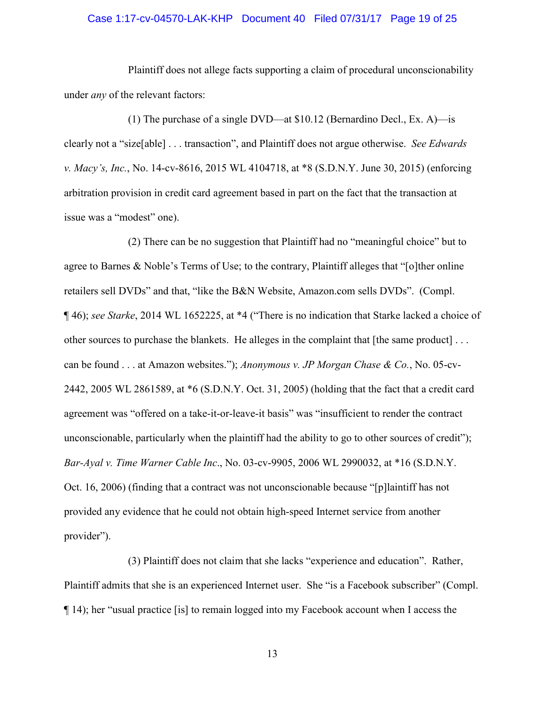### <span id="page-18-2"></span>Case 1:17-cv-04570-LAK-KHP Document 40 Filed 07/31/17 Page 19 of 25

Plaintiff does not allege facts supporting a claim of procedural unconscionability under *any* of the relevant factors:

(1) The purchase of a single DVD—at \$10.12 (Bernardino Decl., Ex. A)—is clearly not a "size[able] . . . transaction", and Plaintiff does not argue otherwise. *See Edwards v. Macy's, Inc.*, No. 14-cv-8616, 2015 WL 4104718, at \*8 (S.D.N.Y. June 30, 2015) (enforcing arbitration provision in credit card agreement based in part on the fact that the transaction at issue was a "modest" one).

<span id="page-18-3"></span><span id="page-18-0"></span>(2) There can be no suggestion that Plaintiff had no "meaningful choice" but to agree to Barnes & Noble's Terms of Use; to the contrary, Plaintiff alleges that "[o]ther online retailers sell DVDs" and that, "like the B&N Website, Amazon.com sells DVDs". (Compl. ¶ 46); *see Starke*, 2014 WL 1652225, at \*4 ("There is no indication that Starke lacked a choice of other sources to purchase the blankets. He alleges in the complaint that [the same product] . . . can be found . . . at Amazon websites."); *Anonymous v. JP Morgan Chase & Co.*, No. 05-cv-2442, 2005 WL 2861589, at \*6 (S.D.N.Y. Oct. 31, 2005) (holding that the fact that a credit card agreement was "offered on a take-it-or-leave-it basis" was "insufficient to render the contract unconscionable, particularly when the plaintiff had the ability to go to other sources of credit"); *Bar-Ayal v. Time Warner Cable Inc*., No. 03-cv-9905, 2006 WL 2990032, at \*16 (S.D.N.Y. Oct. 16, 2006) (finding that a contract was not unconscionable because "[p]laintiff has not provided any evidence that he could not obtain high-speed Internet service from another provider").

<span id="page-18-1"></span>(3) Plaintiff does not claim that she lacks "experience and education". Rather, Plaintiff admits that she is an experienced Internet user. She "is a Facebook subscriber" (Compl. ¶ 14); her "usual practice [is] to remain logged into my Facebook account when I access the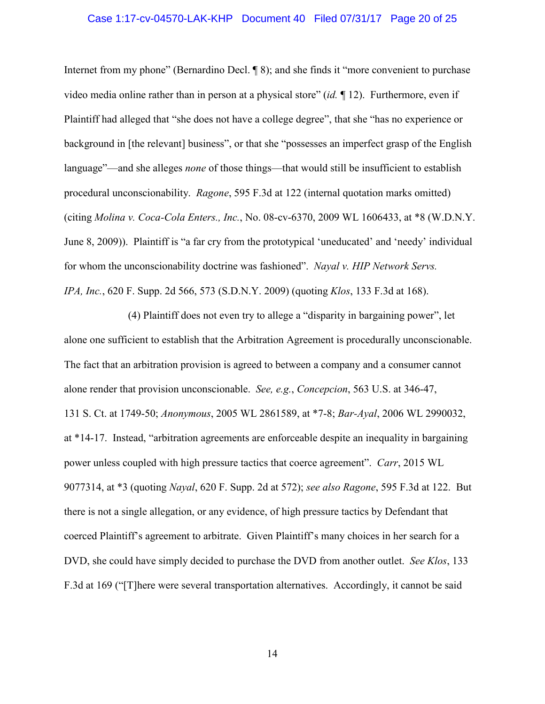### Case 1:17-cv-04570-LAK-KHP Document 40 Filed 07/31/17 Page 20 of 25

<span id="page-19-6"></span>Internet from my phone" (Bernardino Decl. ¶ 8); and she finds it "more convenient to purchase video media online rather than in person at a physical store" (*id.* ¶ 12). Furthermore, even if Plaintiff had alleged that "she does not have a college degree", that she "has no experience or background in [the relevant] business", or that she "possesses an imperfect grasp of the English language"—and she alleges *none* of those things—that would still be insufficient to establish procedural unconscionability. *Ragone*, 595 F.3d at 122 (internal quotation marks omitted) (citing *Molina v. Coca-Cola Enters., Inc.*, No. 08-cv-6370, 2009 WL 1606433, at \*8 (W.D.N.Y. June 8, 2009)). Plaintiff is "a far cry from the prototypical 'uneducated' and 'needy' individual for whom the unconscionability doctrine was fashioned". *Nayal v. HIP Network Servs. IPA, Inc.*, 620 F. Supp. 2d 566, 573 (S.D.N.Y. 2009) (quoting *Klos*, 133 F.3d at 168).

<span id="page-19-5"></span><span id="page-19-4"></span><span id="page-19-3"></span><span id="page-19-2"></span><span id="page-19-1"></span><span id="page-19-0"></span>(4) Plaintiff does not even try to allege a "disparity in bargaining power", let alone one sufficient to establish that the Arbitration Agreement is procedurally unconscionable. The fact that an arbitration provision is agreed to between a company and a consumer cannot alone render that provision unconscionable. *See, e.g.*, *Concepcion*, 563 U.S. at 346-47, 131 S. Ct. at 1749-50; *Anonymous*, 2005 WL 2861589, at \*7-8; *Bar-Ayal*, 2006 WL 2990032, at \*14-17. Instead, "arbitration agreements are enforceable despite an inequality in bargaining power unless coupled with high pressure tactics that coerce agreement". *Carr*, 2015 WL 9077314, at \*3 (quoting *Nayal*, 620 F. Supp. 2d at 572); *see also Ragone*, 595 F.3d at 122. But there is not a single allegation, or any evidence, of high pressure tactics by Defendant that coerced Plaintiff's agreement to arbitrate. Given Plaintiff's many choices in her search for a DVD, she could have simply decided to purchase the DVD from another outlet. *See Klos*, 133 F.3d at 169 ("[T]here were several transportation alternatives. Accordingly, it cannot be said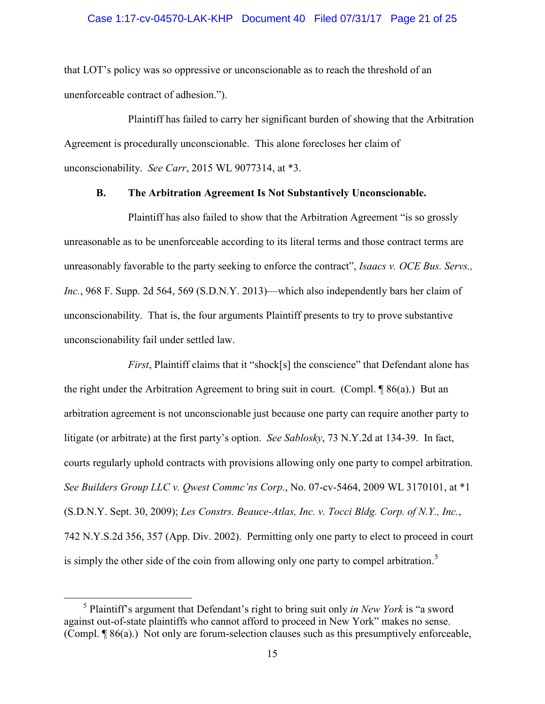# Case 1:17-cv-04570-LAK-KHP Document 40 Filed 07/31/17 Page 21 of 25

that LOT's policy was so oppressive or unconscionable as to reach the threshold of an unenforceable contract of adhesion.").

Plaintiff has failed to carry her significant burden of showing that the Arbitration Agreement is procedurally unconscionable. This alone forecloses her claim of unconscionability. *See Carr*, 2015 WL 9077314, at \*3.

#### <span id="page-20-3"></span><span id="page-20-2"></span>**B. The Arbitration Agreement Is Not Substantively Unconscionable.**

<span id="page-20-0"></span>Plaintiff has also failed to show that the Arbitration Agreement "is so grossly unreasonable as to be unenforceable according to its literal terms and those contract terms are unreasonably favorable to the party seeking to enforce the contract", *Isaacs v. OCE Bus. Servs., Inc.*, 968 F. Supp. 2d 564, 569 (S.D.N.Y. 2013)—which also independently bars her claim of unconscionability. That is, the four arguments Plaintiff presents to try to prove substantive unconscionability fail under settled law.

<span id="page-20-5"></span>*First*, Plaintiff claims that it "shock[s] the conscience" that Defendant alone has the right under the Arbitration Agreement to bring suit in court. (Compl.  $\sqrt{986(a)}$ ) But an arbitration agreement is not unconscionable just because one party can require another party to litigate (or arbitrate) at the first party's option. *See Sablosky*, 73 N.Y.2d at 134-39. In fact, courts regularly uphold contracts with provisions allowing only one party to compel arbitration. *See Builders Group LLC v. Qwest Commc'ns Corp*., No. 07-cv-5464, 2009 WL 3170101, at \*1 (S.D.N.Y. Sept. 30, 2009); *Les Constrs. Beauce-Atlas, Inc. v. Tocci Bldg. Corp. of N.Y., Inc.*, 742 N.Y.S.2d 356, 357 (App. Div. 2002). Permitting only one party to elect to proceed in court is simply the other side of the coin from allowing only one party to compel arbitration.<sup>[5](#page-20-6)</sup>

<span id="page-20-6"></span><span id="page-20-4"></span><span id="page-20-1"></span> $rac{1}{5}$  Plaintiff's argument that Defendant's right to bring suit only *in New York* is "a sword against out-of-state plaintiffs who cannot afford to proceed in New York" makes no sense. (Compl. ¶ 86(a).) Not only are forum-selection clauses such as this presumptively enforceable,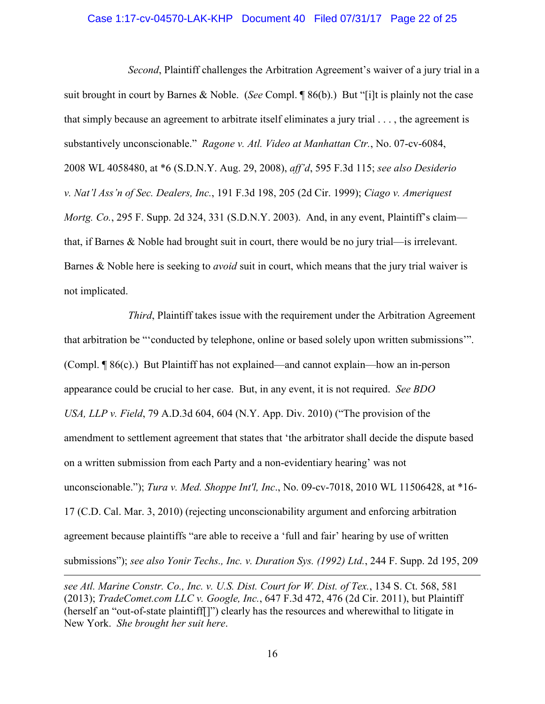#### <span id="page-21-3"></span>Case 1:17-cv-04570-LAK-KHP Document 40 Filed 07/31/17 Page 22 of 25

<span id="page-21-4"></span><span id="page-21-2"></span>*Second*, Plaintiff challenges the Arbitration Agreement's waiver of a jury trial in a suit brought in court by Barnes & Noble. (*See* Compl. ¶ 86(b).) But "[i]t is plainly not the case that simply because an agreement to arbitrate itself eliminates a jury trial . . . , the agreement is substantively unconscionable." *Ragone v. Atl. Video at Manhattan Ctr.*, No. 07-cv-6084, 2008 WL 4058480, at \*6 (S.D.N.Y. Aug. 29, 2008), *aff'd*, 595 F.3d 115; *see also Desiderio v. Nat'l Ass'n of Sec. Dealers, Inc.*, 191 F.3d 198, 205 (2d Cir. 1999); *Ciago v. Ameriquest Mortg. Co.*, 295 F. Supp. 2d 324, 331 (S.D.N.Y. 2003). And, in any event, Plaintiff's claim that, if Barnes & Noble had brought suit in court, there would be no jury trial—is irrelevant. Barnes & Noble here is seeking to *avoid* suit in court, which means that the jury trial waiver is not implicated.

<span id="page-21-1"></span>*Third*, Plaintiff takes issue with the requirement under the Arbitration Agreement that arbitration be "'conducted by telephone, online or based solely upon written submissions'". (Compl. ¶ 86(c).) But Plaintiff has not explained—and cannot explain—how an in-person appearance could be crucial to her case. But, in any event, it is not required. *See BDO USA, LLP v. Field*, 79 A.D.3d 604, 604 (N.Y. App. Div. 2010) ("The provision of the amendment to settlement agreement that states that 'the arbitrator shall decide the dispute based on a written submission from each Party and a non-evidentiary hearing' was not unconscionable."); *Tura v. Med. Shoppe Int'l, Inc*., No. 09-cv-7018, 2010 WL 11506428, at \*16- 17 (C.D. Cal. Mar. 3, 2010) (rejecting unconscionability argument and enforcing arbitration agreement because plaintiffs "are able to receive a 'full and fair' hearing by use of written submissions"); *see also Yonir Techs., Inc. v. Duration Sys. (1992) Ltd.*, 244 F. Supp. 2d 195, 209

<span id="page-21-7"></span><span id="page-21-6"></span> $\overline{a}$ 

<span id="page-21-5"></span><span id="page-21-0"></span>*see Atl. Marine Constr. Co., Inc. v. U.S. Dist. Court for W. Dist. of Tex.*, 134 S. Ct. 568, 581 (2013); *TradeComet.com LLC v. Google, Inc.*, 647 F.3d 472, 476 (2d Cir. 2011), but Plaintiff (herself an "out-of-state plaintiff[]") clearly has the resources and wherewithal to litigate in New York. *She brought her suit here*.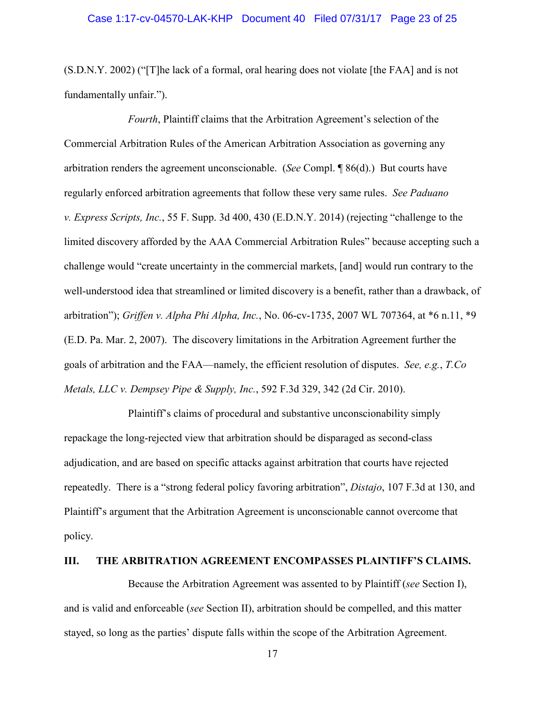### Case 1:17-cv-04570-LAK-KHP Document 40 Filed 07/31/17 Page 23 of 25

(S.D.N.Y. 2002) ("[T]he lack of a formal, oral hearing does not violate [the FAA] and is not fundamentally unfair.").

<span id="page-22-3"></span>*Fourth*, Plaintiff claims that the Arbitration Agreement's selection of the Commercial Arbitration Rules of the American Arbitration Association as governing any arbitration renders the agreement unconscionable. (*See* Compl. ¶ 86(d).) But courts have regularly enforced arbitration agreements that follow these very same rules. *See Paduano v. Express Scripts, Inc.*, 55 F. Supp. 3d 400, 430 (E.D.N.Y. 2014) (rejecting "challenge to the limited discovery afforded by the AAA Commercial Arbitration Rules" because accepting such a challenge would "create uncertainty in the commercial markets, [and] would run contrary to the well-understood idea that streamlined or limited discovery is a benefit, rather than a drawback, of arbitration"); *Griffen v. Alpha Phi Alpha, Inc.*, No. 06-cv-1735, 2007 WL 707364, at \*6 n.11, \*9 (E.D. Pa. Mar. 2, 2007). The discovery limitations in the Arbitration Agreement further the goals of arbitration and the FAA—namely, the efficient resolution of disputes. *See, e.g.*, *T.Co Metals, LLC v. Dempsey Pipe & Supply, Inc.*, 592 F.3d 329, 342 (2d Cir. 2010).

<span id="page-22-4"></span><span id="page-22-2"></span><span id="page-22-1"></span>Plaintiff's claims of procedural and substantive unconscionability simply repackage the long-rejected view that arbitration should be disparaged as second-class adjudication, and are based on specific attacks against arbitration that courts have rejected repeatedly. There is a "strong federal policy favoring arbitration", *Distajo*, 107 F.3d at 130, and Plaintiff's argument that the Arbitration Agreement is unconscionable cannot overcome that policy.

#### <span id="page-22-0"></span>**III. THE ARBITRATION AGREEMENT ENCOMPASSES PLAINTIFF'S CLAIMS.**

Because the Arbitration Agreement was assented to by Plaintiff (*see* Section I), and is valid and enforceable (*see* Section II), arbitration should be compelled, and this matter stayed, so long as the parties' dispute falls within the scope of the Arbitration Agreement.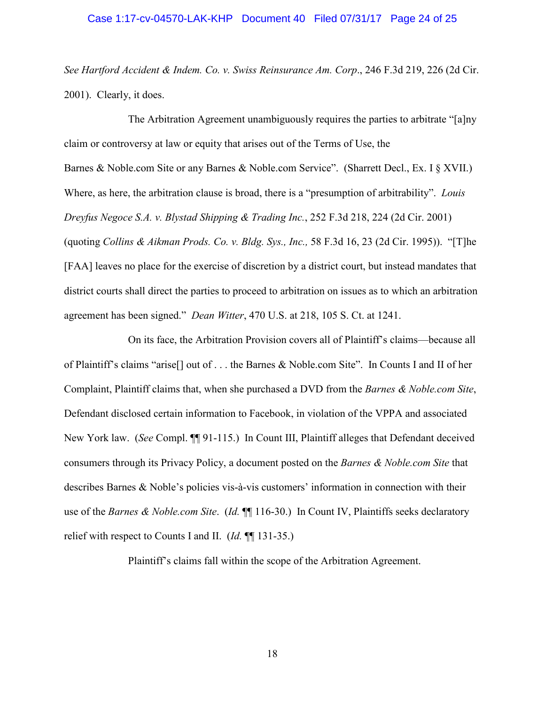# Case 1:17-cv-04570-LAK-KHP Document 40 Filed 07/31/17 Page 24 of 25

<span id="page-23-2"></span>*See Hartford Accident & Indem. Co. v. Swiss Reinsurance Am. Corp*., 246 F.3d 219, 226 (2d Cir. 2001). Clearly, it does.

<span id="page-23-3"></span>The Arbitration Agreement unambiguously requires the parties to arbitrate "[a]ny claim or controversy at law or equity that arises out of the Terms of Use, the Barnes & Noble.com Site or any Barnes & Noble.com Service". (Sharrett Decl., Ex. I § XVII.) Where, as here, the arbitration clause is broad, there is a "presumption of arbitrability". *Louis Dreyfus Negoce S.A. v. Blystad Shipping & Trading Inc.*, 252 F.3d 218, 224 (2d Cir. 2001) (quoting *Collins & Aikman Prods. Co. v. Bldg. Sys., Inc.,* 58 F.3d 16, 23 (2d Cir. 1995)). "[T]he [FAA] leaves no place for the exercise of discretion by a district court, but instead mandates that district courts shall direct the parties to proceed to arbitration on issues as to which an arbitration agreement has been signed." *Dean Witter*, 470 U.S. at 218, 105 S. Ct. at 1241.

<span id="page-23-1"></span><span id="page-23-0"></span>On its face, the Arbitration Provision covers all of Plaintiff's claims—because all of Plaintiff's claims "arise[] out of . . . the Barnes & Noble.com Site". In Counts I and II of her Complaint, Plaintiff claims that, when she purchased a DVD from the *Barnes & Noble.com Site*, Defendant disclosed certain information to Facebook, in violation of the VPPA and associated New York law. (*See* Compl. ¶¶ 91-115.) In Count III, Plaintiff alleges that Defendant deceived consumers through its Privacy Policy, a document posted on the *Barnes & Noble.com Site* that describes Barnes & Noble's policies vis-à-vis customers' information in connection with their use of the *Barnes & Noble.com Site.* (*Id.*  $\P$  116-30.) In Count IV, Plaintiffs seeks declaratory relief with respect to Counts I and II. (*Id.* ¶¶ 131-35.)

Plaintiff's claims fall within the scope of the Arbitration Agreement.